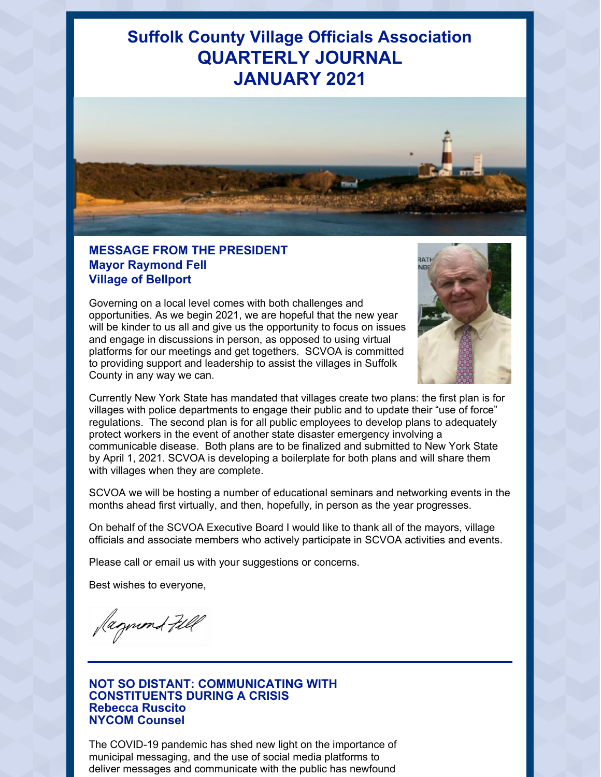# **Suffolk County Village Officials Association QUARTERLY JOURNAL JANUARY 2021**



### **MESSAGE FROM THE PRESIDENT Mayor Raymond Fell Village of Bellport**

Governing on a local level comes with both challenges and opportunities. As we begin 2021, we are hopeful that the new year will be kinder to us all and give us the opportunity to focus on issues and engage in discussions in person, as opposed to using virtual platforms for our meetings and get togethers. SCVOA is committed to providing support and leadership to assist the villages in Suffolk County in any way we can.



Currently New York State has mandated that villages create two plans: the first plan is for villages with police departments to engage their public and to update their "use of force" regulations. The second plan is for all public employees to develop plans to adequately protect workers in the event of another state disaster emergency involving a communicable disease. Both plans are to be finalized and submitted to New York State by April 1, 2021. SCVOA is developing a boilerplate for both plans and will share them with villages when they are complete.

SCVOA we will be hosting a number of educational seminars and networking events in the months ahead first virtually, and then, hopefully, in person as the year progresses.

On behalf of the SCVOA Executive Board I would like to thank all of the mayors, village officials and associate members who actively participate in SCVOA activities and events.

Please call or email us with your suggestions or concerns.

Best wishes to everyone,

Jagund Fill

#### **NOT SO DISTANT: COMMUNICATING WITH CONSTITUENTS DURING A CRISIS Rebecca Ruscito NYCOM Counsel**

The COVID-19 pandemic has shed new light on the importance of municipal messaging, and the use of social media platforms to deliver messages and communicate with the public has newfound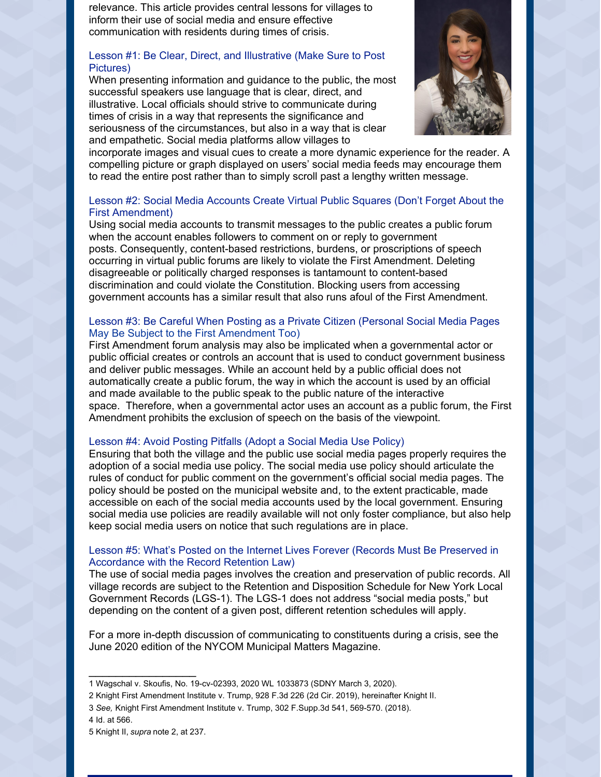relevance. This article provides central lessons for villages to inform their use of social media and ensure effective communication with residents during times of crisis.

#### Lesson #1: Be Clear, Direct, and Illustrative (Make Sure to Post Pictures)

When presenting information and guidance to the public, the most successful speakers use language that is clear, direct, and illustrative. Local officials should strive to communicate during times of crisis in a way that represents the significance and seriousness of the circumstances, but also in a way that is clear and empathetic. Social media platforms allow villages to



incorporate images and visual cues to create a more dynamic experience for the reader. A compelling picture or graph displayed on users' social media feeds may encourage them to read the entire post rather than to simply scroll past a lengthy written message.

#### Lesson #2: Social Media Accounts Create Virtual Public Squares (Don't Forget About the First Amendment)

Using social media accounts to transmit messages to the public creates a public forum when the account enables followers to comment on or reply to government posts. Consequently, content-based restrictions, burdens, or proscriptions of speech occurring in virtual public forums are likely to violate the First Amendment. Deleting disagreeable or politically charged responses is tantamount to content-based discrimination and could violate the Constitution. Blocking users from accessing government accounts has a similar result that also runs afoul of the First Amendment.

#### Lesson #3: Be Careful When Posting as a Private Citizen (Personal Social Media Pages May Be Subject to the First Amendment Too)

First Amendment forum analysis may also be implicated when a governmental actor or public official creates or controls an account that is used to conduct government business and deliver public messages. While an account held by a public official does not automatically create a public forum, the way in which the account is used by an official and made available to the public speak to the public nature of the interactive space. Therefore, when a governmental actor uses an account as a public forum, the First Amendment prohibits the exclusion of speech on the basis of the viewpoint.

#### Lesson #4: Avoid Posting Pitfalls (Adopt a Social Media Use Policy)

Ensuring that both the village and the public use social media pages properly requires the adoption of a social media use policy. The social media use policy should articulate the rules of conduct for public comment on the government's official social media pages. The policy should be posted on the municipal website and, to the extent practicable, made accessible on each of the social media accounts used by the local government. Ensuring social media use policies are readily available will not only foster compliance, but also help keep social media users on notice that such regulations are in place.

#### Lesson #5: What's Posted on the Internet Lives Forever (Records Must Be Preserved in Accordance with the Record Retention Law)

The use of social media pages involves the creation and preservation of public records. All village records are subject to the Retention and Disposition Schedule for New York Local Government Records (LGS-1). The LGS-1 does not address "social media posts," but depending on the content of a given post, different retention schedules will apply.

For a more in-depth discussion of communicating to constituents during a crisis, see the June 2020 edition of the NYCOM Municipal Matters Magazine.

 $\overline{\phantom{a}}$  , where  $\overline{\phantom{a}}$ 

<sup>1</sup> Wagschal v. Skoufis, No. 19-cv-02393, 2020 WL 1033873 (SDNY March 3, 2020).

<sup>2</sup> Knight First Amendment Institute v. Trump, 928 F.3d 226 (2d Cir. 2019), hereinafter Knight II.

<sup>3</sup> *See,* Knight First Amendment Institute v. Trump, 302 F.Supp.3d 541, 569-570. (2018).

<sup>4</sup> Id. at 566.

<sup>5</sup> Knight II, *supra* note 2, at 237.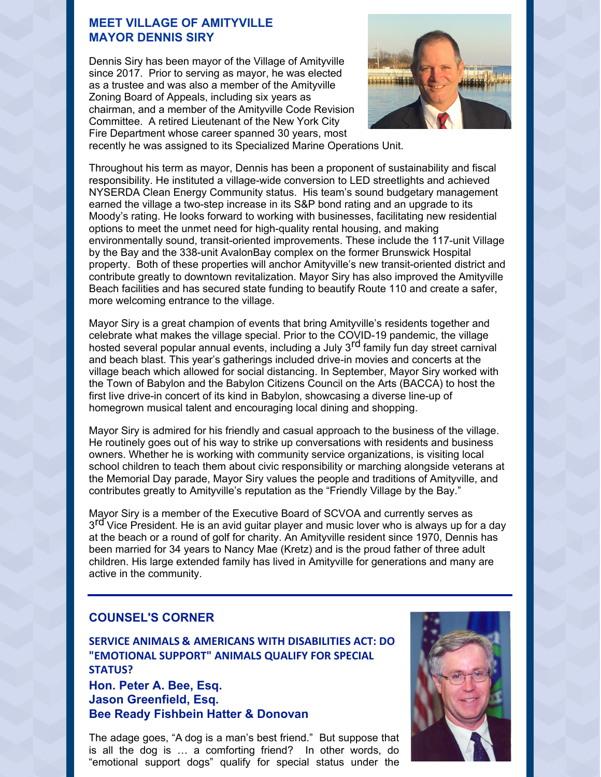#### **MEET VILLAGE OF AMITYVILLE MAYOR DENNIS SIRY**

Dennis Siry has been mayor of the Village of Amityville since 2017. Prior to serving as mayor, he was elected as a trustee and was also a member of the Amityville Zoning Board of Appeals, including six years as chairman, and a member of the Amityville Code Revision Committee. A retired Lieutenant of the New York City Fire Department whose career spanned 30 years, most



recently he was assigned to its Specialized Marine Operations Unit.

Throughout his term as mayor, Dennis has been a proponent of sustainability and fiscal responsibility. He instituted a village-wide conversion to LED streetlights and achieved NYSERDA Clean Energy Community status. His team's sound budgetary management earned the village a two-step increase in its S&P bond rating and an upgrade to its Moody's rating. He looks forward to working with businesses, facilitating new residential options to meet the unmet need for high-quality rental housing, and making environmentally sound, transit-oriented improvements. These include the 117-unit Village by the Bay and the 338-unit AvalonBay complex on the former Brunswick Hospital property. Both of these properties will anchor Amityville's new transit-oriented district and contribute greatly to downtown revitalization. Mayor Siry has also improved the Amityville Beach facilities and has secured state funding to beautify Route 110 and create a safer, more welcoming entrance to the village.

Mayor Siry is a great champion of events that bring Amityville's residents together and celebrate what makes the village special. Prior to the COVID-19 pandemic, the village hosted several popular annual events, including a July 3 rd family fun day street carnival and beach blast. This year's gatherings included drive-in movies and concerts at the village beach which allowed for social distancing. In September, Mayor Siry worked with the Town of Babylon and the Babylon Citizens Council on the Arts (BACCA) to host the first live drive-in concert of its kind in Babylon, showcasing a diverse line-up of homegrown musical talent and encouraging local dining and shopping.

Mayor Siry is admired for his friendly and casual approach to the business of the village. He routinely goes out of his way to strike up conversations with residents and business owners. Whether he is working with community service organizations, is visiting local school children to teach them about civic responsibility or marching alongside veterans at the Memorial Day parade, Mayor Siry values the people and traditions of Amityville, and contributes greatly to Amityville's reputation as the "Friendly Village by the Bay."

Mayor Siry is a member of the Executive Board of SCVOA and currently serves as and vice President. He is an avid guitar player and music lover who is always up for a day at the beach or a round of golf for charity. An Amityville resident since 1970, Dennis has been married for 34 years to Nancy Mae (Kretz) and is the proud father of three adult children. His large extended family has lived in Amityville for generations and many are active in the community.

#### **COUNSEL'S CORNER**

**SERVICE ANIMALS & AMERICANS WITH DISABILITIES ACT: DO "EMOTIONAL SUPPORT" ANIMALS QUALIFY FOR SPECIAL STATUS? Hon. Peter A. Bee, Esq. Jason Greenfield, Esq. Bee Ready Fishbein Hatter & Donovan**

The adage goes, "A dog is a man's best friend." But suppose that is all the dog is … a comforting friend? In other words, do "emotional support dogs" qualify for special status under the

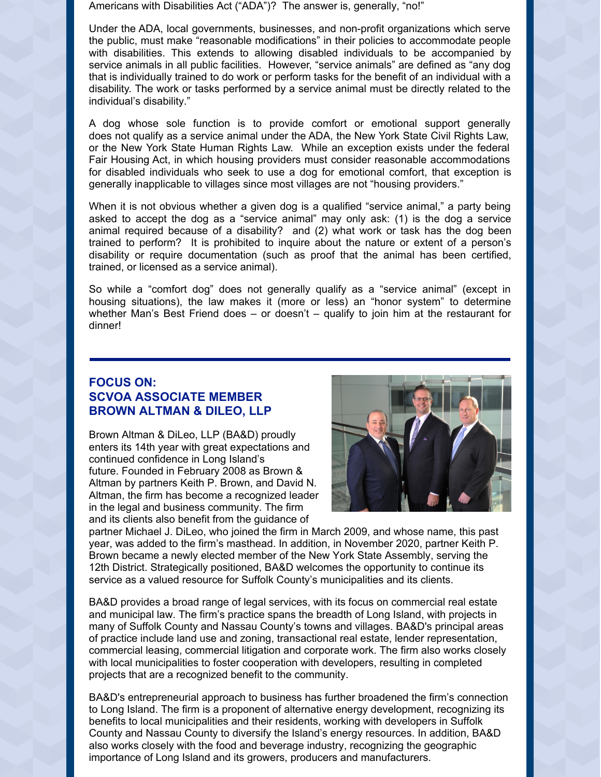Americans with Disabilities Act ("ADA")? The answer is, generally, "no!"

Under the ADA, local governments, businesses, and non-profit organizations which serve the public, must make "reasonable modifications" in their policies to accommodate people with disabilities. This extends to allowing disabled individuals to be accompanied by service animals in all public facilities. However, "service animals" are defined as "any dog that is individually trained to do work or perform tasks for the benefit of an individual with a disability. The work or tasks performed by a service animal must be directly related to the individual's disability."

A dog whose sole function is to provide comfort or emotional support generally does not qualify as a service animal under the ADA, the New York State Civil Rights Law, or the New York State Human Rights Law. While an exception exists under the federal Fair Housing Act, in which housing providers must consider reasonable accommodations for disabled individuals who seek to use a dog for emotional comfort, that exception is generally inapplicable to villages since most villages are not "housing providers."

When it is not obvious whether a given dog is a qualified "service animal," a party being asked to accept the dog as a "service animal" may only ask: (1) is the dog a service animal required because of a disability? and (2) what work or task has the dog been trained to perform? It is prohibited to inquire about the nature or extent of a person's disability or require documentation (such as proof that the animal has been certified, trained, or licensed as a service animal).

So while a "comfort dog" does not generally qualify as a "service animal" (except in housing situations), the law makes it (more or less) an "honor system" to determine whether Man's Best Friend does – or doesn't – qualify to join him at the restaurant for dinner!

## **FOCUS ON: SCVOA ASSOCIATE MEMBER BROWN ALTMAN & DILEO, LLP**

Brown Altman & DiLeo, LLP (BA&D) proudly enters its 14th year with great expectations and continued confidence in Long Island's future. Founded in February 2008 as Brown & Altman by partners Keith P. Brown, and David N. Altman, the firm has become a recognized leader in the legal and business community. The firm and its clients also benefit from the guidance of



partner Michael J. DiLeo, who joined the firm in March 2009, and whose name, this past year, was added to the firm's masthead. In addition, in November 2020, partner Keith P. Brown became a newly elected member of the New York State Assembly, serving the 12th District. Strategically positioned, BA&D welcomes the opportunity to continue its service as a valued resource for Suffolk County's municipalities and its clients.

BA&D provides a broad range of legal services, with its focus on commercial real estate and municipal law. The firm's practice spans the breadth of Long Island, with projects in many of Suffolk County and Nassau County's towns and villages. BA&D's principal areas of practice include land use and zoning, transactional real estate, lender representation, commercial leasing, commercial litigation and corporate work. The firm also works closely with local municipalities to foster cooperation with developers, resulting in completed projects that are a recognized benefit to the community.

BA&D's entrepreneurial approach to business has further broadened the firm's connection to Long Island. The firm is a proponent of alternative energy development, recognizing its benefits to local municipalities and their residents, working with developers in Suffolk County and Nassau County to diversify the Island's energy resources. In addition, BA&D also works closely with the food and beverage industry, recognizing the geographic importance of Long Island and its growers, producers and manufacturers.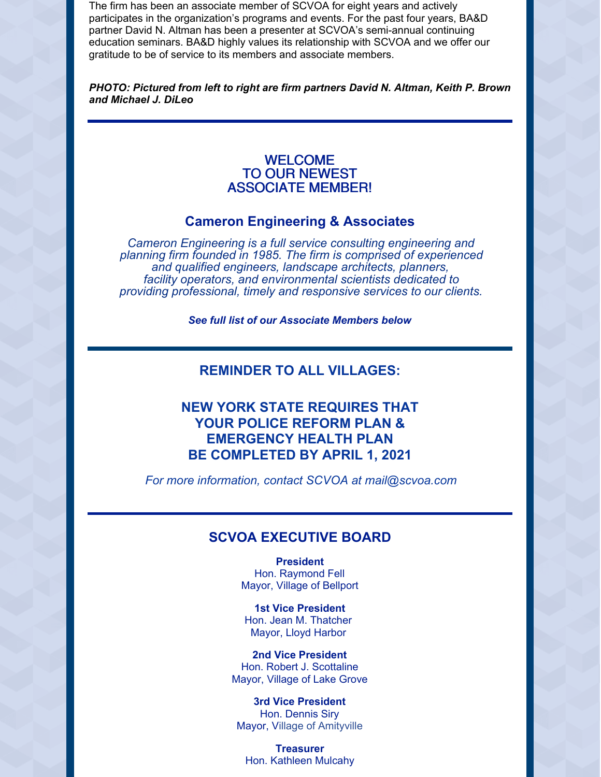The firm has been an associate member of SCVOA for eight years and actively participates in the organization's programs and events. For the past four years, BA&D partner David N. Altman has been a presenter at SCVOA's semi-annual continuing education seminars. BA&D highly values its relationship with SCVOA and we offer our gratitude to be of service to its members and associate members.

*PHOTO: Pictured from left to right are firm partners David N. Altman, Keith P. Brown and Michael J. DiLeo*

### WELCOME TO OUR NEWEST ASSOCIATE MEMBER!

### **Cameron Engineering & Associates**

*Cameron Engineering is a full service consulting engineering and planning firm founded in 1985. The firm is comprised of experienced and qualified engineers, landscape architects, planners, facility operators, and environmental scientists dedicated to providing professional, timely and responsive services to our clients.*

*See full list of our Associate Members below*

## **REMINDER TO ALL VILLAGES:**

## **NEW YORK STATE REQUIRES THAT YOUR POLICE REFORM PLAN & EMERGENCY HEALTH PLAN BE COMPLETED BY APRIL 1, 2021**

*For more information, contact SCVOA at mail@scvoa.com*

## **SCVOA EXECUTIVE BOARD**

**President** Hon. Raymond Fell Mayor, Village of Bellport

**1st Vice President** Hon. Jean M. Thatcher Mayor, Lloyd Harbor

**2nd Vice President** Hon. Robert J. Scottaline Mayor, Village of Lake Grove

**3rd Vice President** Hon. Dennis Siry Mayor, Village of Amityville

**Treasurer** Hon. Kathleen Mulcahy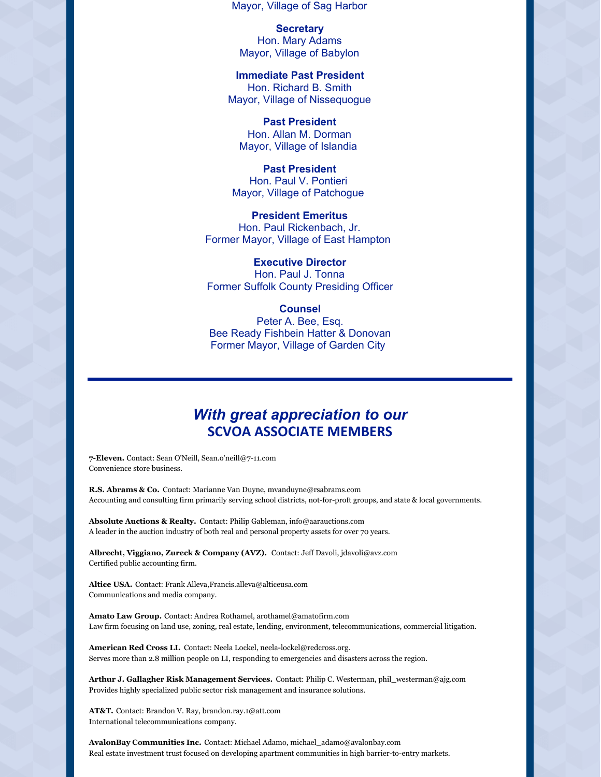Mayor, Village of Sag Harbor

**Secretary** Hon. Mary Adams Mayor, Village of Babylon

**Immediate Past President** Hon. Richard B. Smith Mayor, Village of Nissequogue

**Past President** Hon. Allan M. Dorman Mayor, Village of Islandia

**Past President** Hon. Paul V. Pontieri Mayor, Village of Patchogue

**President Emeritus** Hon. Paul Rickenbach, Jr. Former Mayor, Village of East Hampton

**Executive Director** Hon. Paul J. Tonna Former Suffolk County Presiding Officer

**Counsel** Peter A. Bee, Esq. Bee Ready Fishbein Hatter & Donovan Former Mayor, Village of Garden City

## *With great appreciation to our* **SCVOA ASSOCIATE MEMBERS**

**7-Eleven.** Contact: Sean O'Neill, Sean.o'neill@7-11.com Convenience store business.

**R.S. Abrams & Co.** Contact: Marianne Van Duyne, mvanduyne@rsabrams.com Accounting and consulting firm primarily serving school districts, not-for-proft groups, and state & local governments.

**Absolute Auctions & Realty.** Contact: Philip Gableman, info@aarauctions.com A leader in the auction industry of both real and personal property assets for over 70 years.

**Albrecht, Viggiano, Zureck & Company (AVZ).** Contact: Jeff Davoli, jdavoli@avz.com Certified public accounting firm.

**Altice USA.** Contact: Frank Alleva,Francis.alleva@alticeusa.com Communications and media company.

**Amato Law Group.** Contact: Andrea Rothamel, arothamel@amatofirm.com Law firm focusing on land use, zoning, real estate, lending, environment, telecommunications, commercial litigation.

**American Red Cross LI.** Contact: Neela Lockel, neela-lockel@redcross.org. Serves more than 2.8 million people on LI, responding to emergencies and disasters across the region.

**Arthur J. Gallagher Risk Management Services.** Contact: Philip C. Westerman, phil\_westerman@ajg.com Provides highly specialized public sector risk management and insurance solutions.

**AT&T.** Contact: Brandon V. Ray, brandon.ray.1@att.com International telecommunications company.

**AvalonBay Communities Inc.** Contact: Michael Adamo, michael\_adamo@avalonbay.com Real estate investment trust focused on developing apartment communities in high barrier-to-entry markets.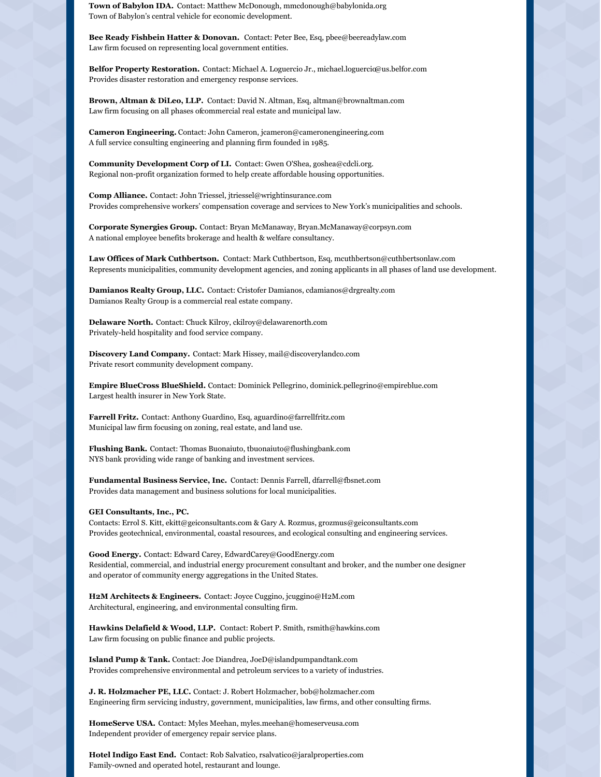**Town of Babylon IDA.** Contact: Matthew McDonough, mmcdonough@babylonida.org Town of Babylon's central vehicle for economic development.

**Bee Ready Fishbein Hatter & Donovan.** Contact: Peter Bee, Esq, pbee@beereadylaw.com Law firm focused on representing local government entities.

**Belfor Property Restoration.** Contact: Michael A. Loguercio Jr., michael.loguercio@us.belfor.com Provides disaster restoration and emergency response services.

**Brown, Altman & DiLeo, LLP.** Contact: David N. Altman, Esq, altman@brownaltman.com Law firm focusing on all phases ofcommercial real estate and municipal law.

**Cameron Engineering.** Contact: John Cameron, jcameron@cameronengineering.com A full service consulting engineering and planning firm founded in 1985.

**Community Development Corp of LI.** Contact: Gwen O'Shea, goshea@cdcli.org. Regional non-profit organization formed to help create affordable housing opportunities.

**Comp Alliance.** Contact: John Triessel, jtriessel@wrightinsurance.com Provides comprehensive workers' compensation coverage and services to New York's municipalities and schools.

**Corporate Synergies Group.** Contact: Bryan McManaway, Bryan.McManaway@corpsyn.com A national employee benefits brokerage and health & welfare consultancy.

**Law Offices of Mark Cuthbertson.** Contact: Mark Cuthbertson, Esq, mcuthbertson@cuthbertsonlaw.com Represents municipalities, community development agencies, and zoning applicants in all phases of land use development.

**Damianos Realty Group, LLC.** Contact: Cristofer Damianos, cdamianos@drgrealty.com Damianos Realty Group is a commercial real estate company.

**Delaware North.** Contact: Chuck Kilroy, ckilroy@delawarenorth.com Privately-held hospitality and food service company.

**Discovery Land Company.** Contact: Mark Hissey, mail@discoverylandco.com Private resort community development company.

**Empire BlueCross BlueShield.** Contact: Dominick Pellegrino, dominick.pellegrino@empireblue.com Largest health insurer in New York State.

**Farrell Fritz.** Contact: Anthony Guardino, Esq, aguardino@farrellfritz.com Municipal law firm focusing on zoning, real estate, and land use.

**Flushing Bank.** Contact: Thomas Buonaiuto, tbuonaiuto@flushingbank.com NYS bank providing wide range of banking and investment services.

**Fundamental Business Service, Inc.** Contact: Dennis Farrell, dfarrell@fbsnet.com Provides data management and business solutions for local municipalities.

#### **GEI Consultants, Inc., PC.**

Contacts: Errol S. Kitt, ekitt@geiconsultants.com & Gary A. Rozmus, grozmus@geiconsultants.com Provides geotechnical, environmental, coastal resources, and ecological consulting and engineering services.

**Good Energy.** Contact: Edward Carey, EdwardCarey@GoodEnergy.com Residential, commercial, and industrial energy procurement consultant and broker, and the number one designer and operator of community energy aggregations in the United States.

**H2M Architects & Engineers.** Contact: Joyce Cuggino, jcuggino@H2M.com Architectural, engineering, and environmental consulting firm.

**Hawkins Delafield & Wood, LLP.** Contact: Robert P. Smith, rsmith@hawkins.com Law firm focusing on public finance and public projects.

**Island Pump & Tank.** Contact: Joe Diandrea, JoeD@islandpumpandtank.com Provides comprehensive environmental and petroleum services to a variety of industries.

**J. R. Holzmacher PE, LLC.** Contact: J. Robert Holzmacher, bob@holzmacher.com Engineering firm servicing industry, government, municipalities, law firms, and other consulting firms.

**HomeServe USA.** Contact: Myles Meehan, myles.meehan@homeserveusa.com Independent provider of emergency repair service plans.

**Hotel Indigo East End.** Contact: Rob Salvatico, rsalvatico@jaralproperties.com Family-owned and operated hotel, restaurant and lounge.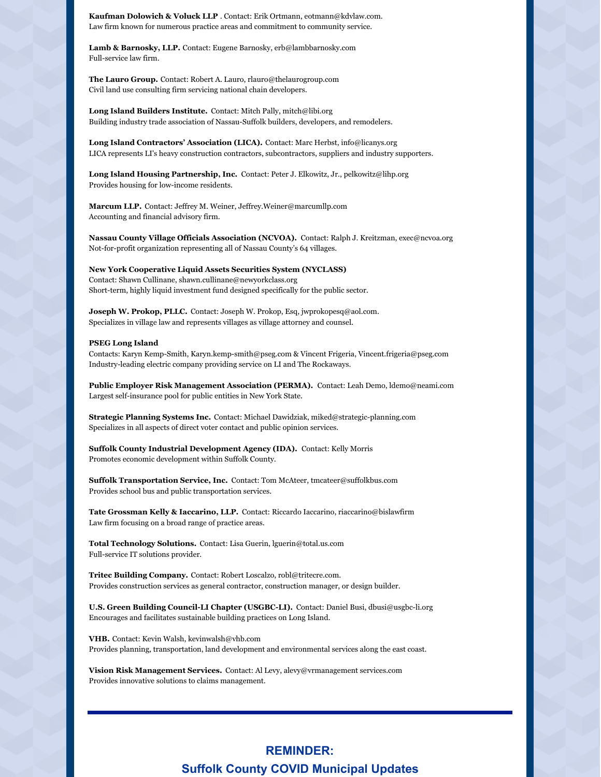**Kaufman Dolowich & Voluck LLP** . Contact: Erik Ortmann, eotmann@kdvlaw.com. Law firm known for numerous practice areas and commitment to community service.

**Lamb & Barnosky, LLP.** Contact: Eugene Barnosky, erb@lambbarnosky.com Full-service law firm.

**The Lauro Group.** Contact: Robert A. Lauro, rlauro@thelaurogroup.com Civil land use consulting firm servicing national chain developers.

**Long Island Builders Institute.** Contact: Mitch Pally, mitch@libi.org Building industry trade association of Nassau-Suffolk builders, developers, and remodelers.

**Long Island Contractors' Association (LICA).** Contact: Marc Herbst, info@licanys.org LICA represents LI's heavy construction contractors, subcontractors, suppliers and industry supporters.

**Long Island Housing Partnership, Inc.** Contact: Peter J. Elkowitz, Jr., pelkowitz@lihp.org Provides housing for low-income residents.

**Marcum LLP.** Contact: Jeffrey M. Weiner, Jeffrey.Weiner@marcumllp.com Accounting and financial advisory firm.

**Nassau County Village Officials Association (NCVOA).** Contact: Ralph J. Kreitzman, exec@ncvoa.org Not-for-profit organization representing all of Nassau County's 64 villages.

**New York Cooperative Liquid Assets Securities System (NYCLASS)** Contact: Shawn Cullinane, shawn.cullinane@newyorkclass.org Short-term, highly liquid investment fund designed specifically for the public sector.

**Joseph W. Prokop, PLLC.** Contact: Joseph W. Prokop, Esq, jwprokopesq@aol.com. Specializes in village law and represents villages as village attorney and counsel.

#### **PSEG Long Island**

Contacts: Karyn Kemp-Smith, Karyn.kemp-smith@pseg.com & Vincent Frigeria, Vincent.frigeria@pseg.com Industry-leading electric company providing service on LI and The Rockaways.

**Public Employer Risk Management Association (PERMA).** Contact: Leah Demo, ldemo@neami.com Largest self-insurance pool for public entities in New York State.

**Strategic Planning Systems Inc.** Contact: Michael Dawidziak, miked@strategic-planning.com Specializes in all aspects of direct voter contact and public opinion services.

**Suffolk County Industrial Development Agency (IDA).** Contact: Kelly Morris Promotes economic development within Suffolk County.

**Suffolk Transportation Service, Inc.** Contact: Tom McAteer, tmcateer@suffolkbus.com Provides school bus and public transportation services.

**Tate Grossman Kelly & Iaccarino, LLP.** Contact: Riccardo Iaccarino, riaccarino@bislawfirm Law firm focusing on a broad range of practice areas.

**Total Technology Solutions.** Contact: Lisa Guerin, lguerin@total.us.com Full-service IT solutions provider.

**Tritec Building Company.** Contact: Robert Loscalzo, robl@tritecre.com. Provides construction services as general contractor, construction manager, or design builder.

**U.S. Green Building Council-LI Chapter (USGBC-LI).** Contact: Daniel Busi, dbusi@usgbc-li.org Encourages and facilitates sustainable building practices on Long Island.

**VHB.** Contact: Kevin Walsh, kevinwalsh@vhb.com Provides planning, transportation, land development and environmental services along the east coast.

**Vision Risk Management Services.** Contact: Al Levy, alevy@vrmanagement services.com Provides innovative solutions to claims management.

## **REMINDER: Suffolk County COVID Municipal Updates**